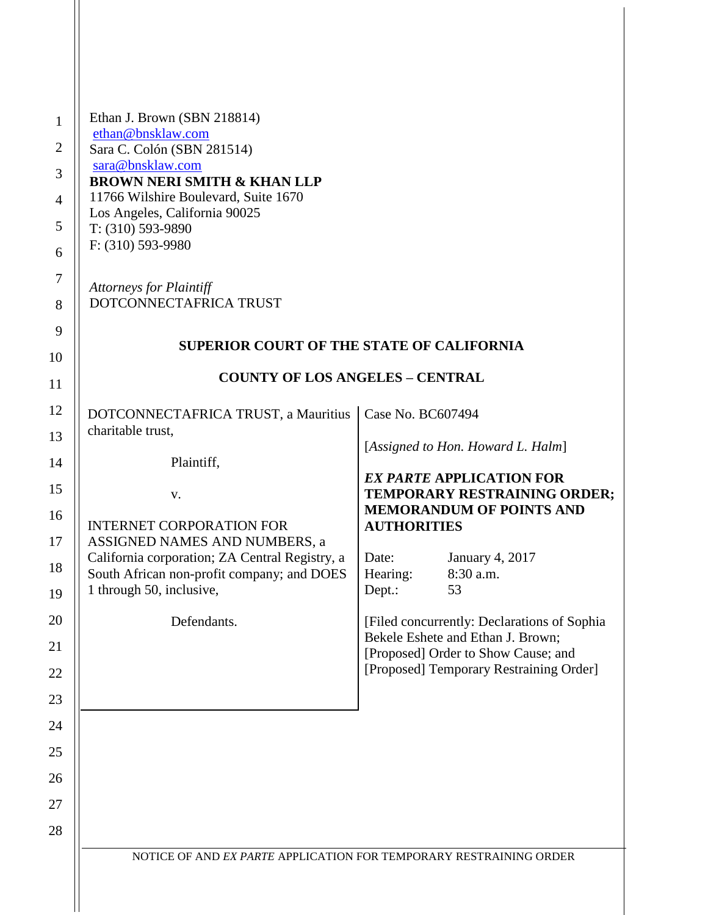| 1<br>$\overline{2}$<br>$\mathfrak{Z}$<br>$\overline{4}$<br>5<br>6<br>7<br>8<br>9<br>10<br>11 | Ethan J. Brown (SBN 218814)<br>ethan@bnsklaw.com<br>Sara C. Colón (SBN 281514)<br>sara@bnsklaw.com<br><b>BROWN NERI SMITH &amp; KHAN LLP</b><br>11766 Wilshire Boulevard, Suite 1670<br>Los Angeles, California 90025<br>$T: (310) 593-9890$<br>F: (310) 593-9980<br><b>Attorneys for Plaintiff</b><br>DOTCONNECTAFRICA TRUST<br><b>SUPERIOR COURT OF THE STATE OF CALIFORNIA</b><br><b>COUNTY OF LOS ANGELES - CENTRAL</b> |                                                                                   |
|----------------------------------------------------------------------------------------------|-----------------------------------------------------------------------------------------------------------------------------------------------------------------------------------------------------------------------------------------------------------------------------------------------------------------------------------------------------------------------------------------------------------------------------|-----------------------------------------------------------------------------------|
| 12                                                                                           | DOTCONNECTAFRICA TRUST, a Mauritius                                                                                                                                                                                                                                                                                                                                                                                         | Case No. BC607494                                                                 |
| 13                                                                                           | charitable trust,                                                                                                                                                                                                                                                                                                                                                                                                           |                                                                                   |
| 14                                                                                           | Plaintiff,                                                                                                                                                                                                                                                                                                                                                                                                                  | [Assigned to Hon. Howard L. Halm]                                                 |
| 15                                                                                           | V.                                                                                                                                                                                                                                                                                                                                                                                                                          | <b>EX PARTE APPLICATION FOR</b><br>TEMPORARY RESTRAINING ORDER;                   |
| 16                                                                                           | <b>INTERNET CORPORATION FOR</b>                                                                                                                                                                                                                                                                                                                                                                                             | <b>MEMORANDUM OF POINTS AND</b><br><b>AUTHORITIES</b>                             |
| 17                                                                                           | ASSIGNED NAMES AND NUMBERS, a                                                                                                                                                                                                                                                                                                                                                                                               |                                                                                   |
| 18                                                                                           | California corporation; ZA Central Registry, a<br>South African non-profit company; and DOES                                                                                                                                                                                                                                                                                                                                | January 4, 2017<br>Date:<br>Hearing:<br>8:30 a.m.                                 |
| 19                                                                                           | 1 through 50, inclusive,                                                                                                                                                                                                                                                                                                                                                                                                    | Dept.:<br>53                                                                      |
| 20                                                                                           | Defendants.                                                                                                                                                                                                                                                                                                                                                                                                                 | [Filed concurrently: Declarations of Sophia]<br>Bekele Eshete and Ethan J. Brown; |
| 21                                                                                           |                                                                                                                                                                                                                                                                                                                                                                                                                             | [Proposed] Order to Show Cause; and<br>[Proposed] Temporary Restraining Order]    |
| 22<br>23                                                                                     |                                                                                                                                                                                                                                                                                                                                                                                                                             |                                                                                   |
| 24                                                                                           |                                                                                                                                                                                                                                                                                                                                                                                                                             |                                                                                   |
| 25                                                                                           |                                                                                                                                                                                                                                                                                                                                                                                                                             |                                                                                   |
| 26                                                                                           |                                                                                                                                                                                                                                                                                                                                                                                                                             |                                                                                   |
| 27                                                                                           |                                                                                                                                                                                                                                                                                                                                                                                                                             |                                                                                   |
| 28                                                                                           |                                                                                                                                                                                                                                                                                                                                                                                                                             |                                                                                   |
|                                                                                              | NOTICE OF AND EX PARTE APPLICATION FOR TEMPORARY RESTRAINING ORDER                                                                                                                                                                                                                                                                                                                                                          |                                                                                   |
|                                                                                              |                                                                                                                                                                                                                                                                                                                                                                                                                             |                                                                                   |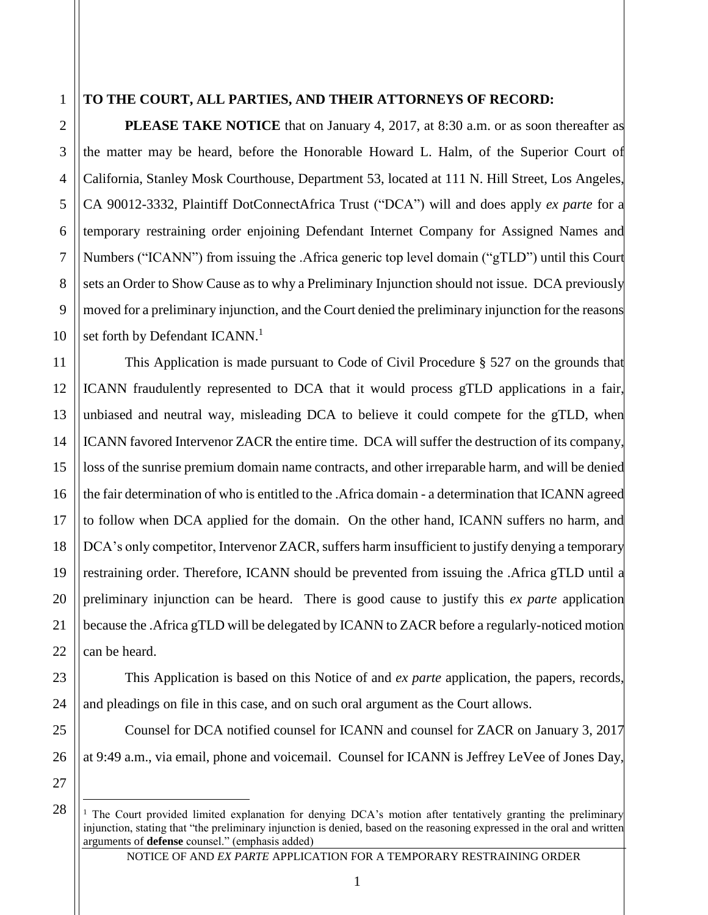#### **TO THE COURT, ALL PARTIES, AND THEIR ATTORNEYS OF RECORD:**

**PLEASE TAKE NOTICE** that on January 4, 2017, at 8:30 a.m. or as soon thereafter as the matter may be heard, before the Honorable Howard L. Halm, of the Superior Court of California, Stanley Mosk Courthouse, Department 53, located at 111 N. Hill Street, Los Angeles, CA 90012-3332, Plaintiff DotConnectAfrica Trust ("DCA") will and does apply *ex parte* for a temporary restraining order enjoining Defendant Internet Company for Assigned Names and Numbers ("ICANN") from issuing the .Africa generic top level domain ("gTLD") until this Court sets an Order to Show Cause as to why a Preliminary Injunction should not issue. DCA previously moved for a preliminary injunction, and the Court denied the preliminary injunction for the reasons set forth by Defendant ICANN.<sup>1</sup>

This Application is made pursuant to Code of Civil Procedure § 527 on the grounds that ICANN fraudulently represented to DCA that it would process gTLD applications in a fair, unbiased and neutral way, misleading DCA to believe it could compete for the gTLD, when ICANN favored Intervenor ZACR the entire time. DCA will suffer the destruction of its company, loss of the sunrise premium domain name contracts, and other irreparable harm, and will be denied the fair determination of who is entitled to the .Africa domain - a determination that ICANN agreed to follow when DCA applied for the domain. On the other hand, ICANN suffers no harm, and DCA's only competitor, Intervenor ZACR, suffers harm insufficient to justify denying a temporary restraining order. Therefore, ICANN should be prevented from issuing the .Africa gTLD until a preliminary injunction can be heard. There is good cause to justify this *ex parte* application because the .Africa gTLD will be delegated by ICANN to ZACR before a regularly-noticed motion can be heard.

This Application is based on this Notice of and *ex parte* application, the papers, records, and pleadings on file in this case, and on such oral argument as the Court allows.

Counsel for DCA notified counsel for ICANN and counsel for ZACR on January 3, 2017 at 9:49 a.m., via email, phone and voicemail. Counsel for ICANN is Jeffrey LeVee of Jones Day,

27 28

 $\overline{a}$ 

1

2

3

4

5

6

7

8

9

10

11

12

13

14

15

16

17

18

19

20

21

22

23

24

25

<sup>&</sup>lt;sup>1</sup> The Court provided limited explanation for denying DCA's motion after tentatively granting the preliminary injunction, stating that "the preliminary injunction is denied, based on the reasoning expressed in the oral and written arguments of **defense** counsel." (emphasis added)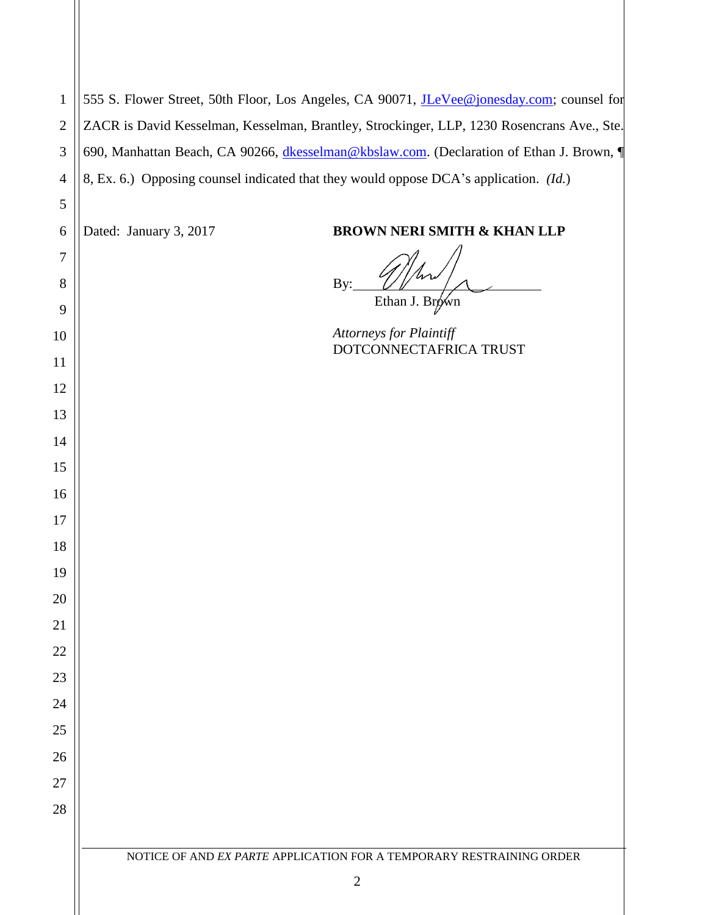| $\mathbf{1}$   | 555 S. Flower Street, 50th Floor, Los Angeles, CA 90071, <i>JLeVee@jonesday.com</i> ; counsel for |                                                                                      |  |  |
|----------------|---------------------------------------------------------------------------------------------------|--------------------------------------------------------------------------------------|--|--|
| $\mathfrak{2}$ | ZACR is David Kesselman, Kesselman, Brantley, Strockinger, LLP, 1230 Rosencrans Ave., Ste.        |                                                                                      |  |  |
| 3              | 690, Manhattan Beach, CA 90266, dkesselman@kbslaw.com. (Declaration of Ethan J. Brown, ¶          |                                                                                      |  |  |
| $\overline{4}$ | 8, Ex. 6.) Opposing counsel indicated that they would oppose DCA's application. (Id.)             |                                                                                      |  |  |
| 5              |                                                                                                   |                                                                                      |  |  |
| 6              | Dated: January 3, 2017                                                                            | <b>BROWN NERI SMITH &amp; KHAN LLP</b>                                               |  |  |
| $\tau$         |                                                                                                   |                                                                                      |  |  |
| 8              |                                                                                                   | By:                                                                                  |  |  |
| 9              |                                                                                                   | Ethan J. Brówn                                                                       |  |  |
| 10             |                                                                                                   | <b>Attorneys for Plaintiff</b><br>DOTCONNECTAFRICA TRUST                             |  |  |
| 11             |                                                                                                   |                                                                                      |  |  |
| 12             |                                                                                                   |                                                                                      |  |  |
| 13             |                                                                                                   |                                                                                      |  |  |
| 14             |                                                                                                   |                                                                                      |  |  |
| 15             |                                                                                                   |                                                                                      |  |  |
| 16             |                                                                                                   |                                                                                      |  |  |
| 17             |                                                                                                   |                                                                                      |  |  |
| 18             |                                                                                                   |                                                                                      |  |  |
| 19             |                                                                                                   |                                                                                      |  |  |
| 20             |                                                                                                   |                                                                                      |  |  |
| 21             |                                                                                                   |                                                                                      |  |  |
| 22             |                                                                                                   |                                                                                      |  |  |
| 23             |                                                                                                   |                                                                                      |  |  |
| 24             |                                                                                                   |                                                                                      |  |  |
| 25             |                                                                                                   |                                                                                      |  |  |
| 26             |                                                                                                   |                                                                                      |  |  |
| 27             |                                                                                                   |                                                                                      |  |  |
| 28             |                                                                                                   |                                                                                      |  |  |
|                |                                                                                                   |                                                                                      |  |  |
|                |                                                                                                   | NOTICE OF AND EX PARTE APPLICATION FOR A TEMPORARY RESTRAINING ORDER<br>$\mathbf{2}$ |  |  |
|                |                                                                                                   |                                                                                      |  |  |

II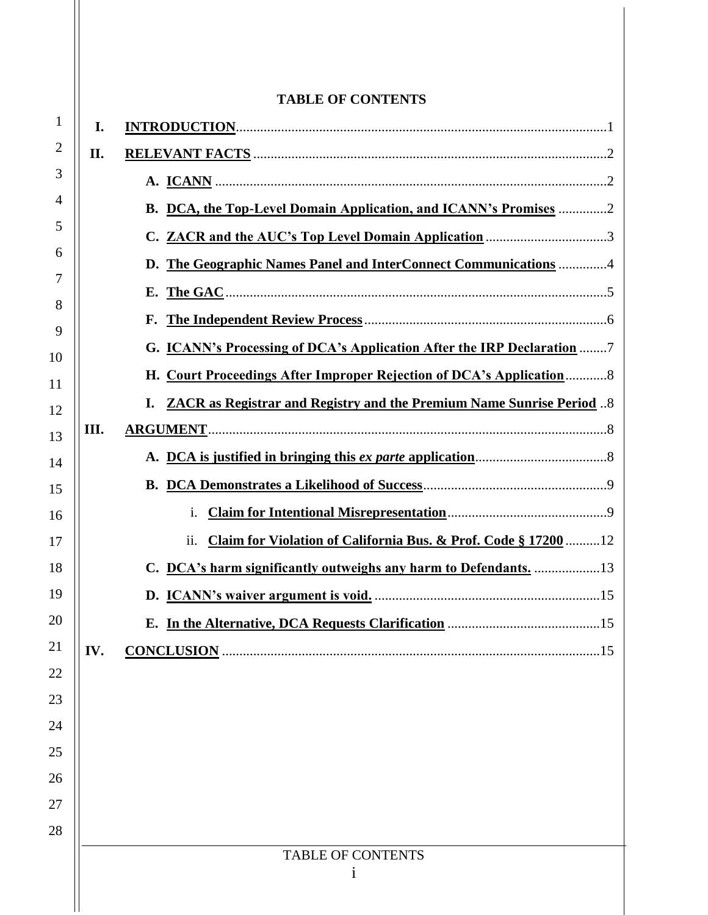|          |     | <b>TABLE OF CONTENTS</b>                                                          |
|----------|-----|-----------------------------------------------------------------------------------|
| 1        | I.  |                                                                                   |
| 2        | II. |                                                                                   |
| 3        |     |                                                                                   |
| 4        |     | B. DCA, the Top-Level Domain Application, and ICANN's Promises 2                  |
| 5        |     |                                                                                   |
| 6        |     | The Geographic Names Panel and InterConnect Communications 4<br>D.                |
| 7        |     | Е.                                                                                |
| 8<br>9   |     | F.                                                                                |
| 10       |     | G. <b>ICANN's Processing of DCA's Application After the IRP Declaration</b> 7     |
| 11       |     | H. Court Proceedings After Improper Rejection of DCA's Application8               |
| 12       |     | <b>ZACR</b> as Registrar and Registry and the Premium Name Sunrise Period 8<br>I. |
| 13       | Ш.  |                                                                                   |
| 14       |     |                                                                                   |
| 15       |     |                                                                                   |
| 16       |     | $\mathbf{1}$ .                                                                    |
| 17       |     | Claim for Violation of California Bus. & Prof. Code § 1720012<br>ii.              |
| 18       |     | C. DCA's harm significantly outweighs any harm to Defendants. 13                  |
| 19       |     |                                                                                   |
| 20       |     |                                                                                   |
| 21       | IV. |                                                                                   |
| 22       |     |                                                                                   |
| 23<br>24 |     |                                                                                   |
| 25       |     |                                                                                   |
| 26       |     |                                                                                   |
| 27       |     |                                                                                   |
| 28       |     |                                                                                   |
|          |     | <b>TABLE OF CONTENTS</b>                                                          |
|          |     | 1                                                                                 |
|          |     |                                                                                   |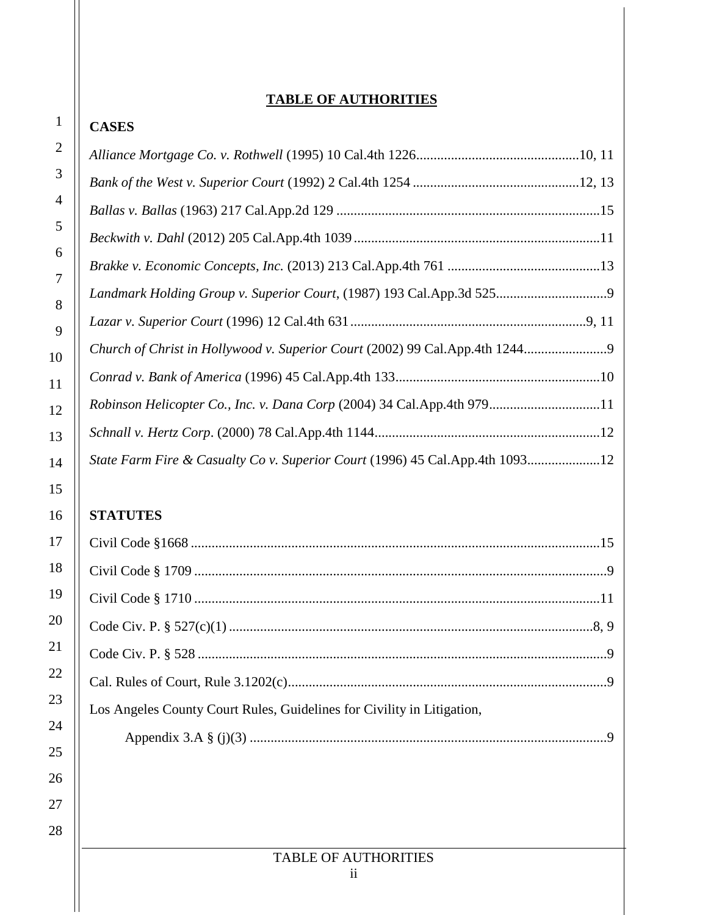# **TABLE OF AUTHORITIES**

| $\mathbf 1$    |
|----------------|
| $\overline{c}$ |
| 3              |
| 4              |
| 5              |
| 6              |
| $\overline{7}$ |
| 8              |
| 9              |
| 10             |
| 11             |
| 12             |
| 13             |
| 14             |
| 15             |
| 16             |
| 17             |
| 18             |
| 19             |
| I<br>l         |
| $^{21}$        |
| 22             |
| 23             |
| 24             |
| 25             |
| 26             |
|                |
| $^{28}$        |

| Robinson Helicopter Co., Inc. v. Dana Corp (2004) 34 Cal.App.4th 97911       |  |
|------------------------------------------------------------------------------|--|
|                                                                              |  |
| State Farm Fire & Casualty Co v. Superior Court (1996) 45 Cal.App.4th 109312 |  |

# **STATUTES**

**CASES**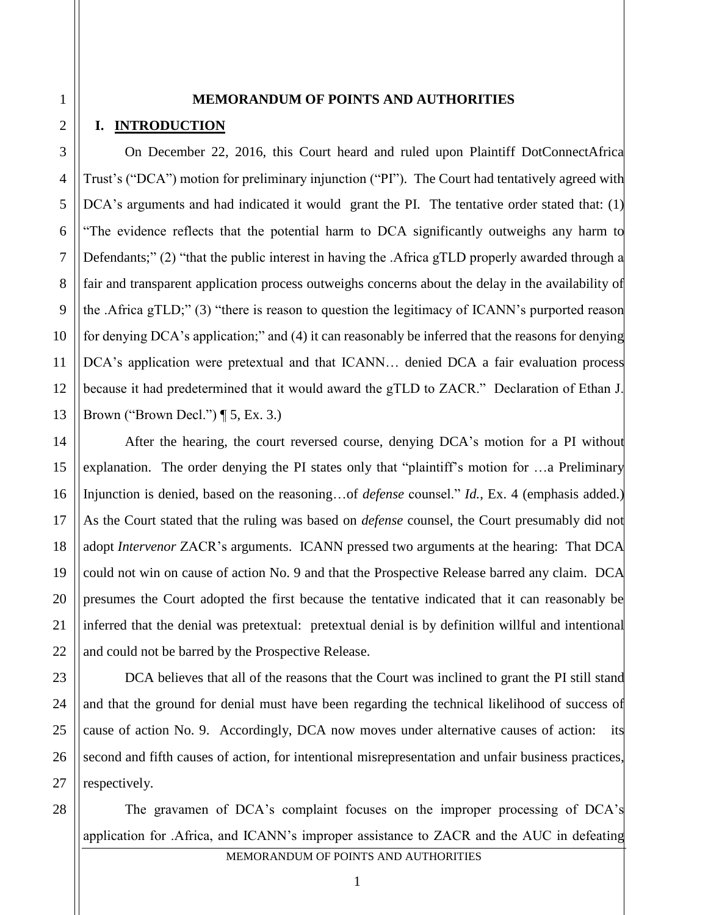#### **MEMORANDUM OF POINTS AND AUTHORITIES**

#### **I. INTRODUCTION**

On December 22, 2016, this Court heard and ruled upon Plaintiff DotConnectAfrica Trust's ("DCA") motion for preliminary injunction ("PI"). The Court had tentatively agreed with DCA's arguments and had indicated it would grant the PI. The tentative order stated that: (1) "The evidence reflects that the potential harm to DCA significantly outweighs any harm to Defendants;" (2) "that the public interest in having the .Africa gTLD properly awarded through a fair and transparent application process outweighs concerns about the delay in the availability of the .Africa gTLD;" (3) "there is reason to question the legitimacy of ICANN's purported reason for denying DCA's application;" and (4) it can reasonably be inferred that the reasons for denying DCA's application were pretextual and that ICANN... denied DCA a fair evaluation process because it had predetermined that it would award the gTLD to ZACR." Declaration of Ethan J. Brown ("Brown Decl.")  $\P$  5, Ex. 3.)

After the hearing, the court reversed course, denying DCA's motion for a PI without explanation. The order denying the PI states only that "plaintiff's motion for …a Preliminary Injunction is denied, based on the reasoning…of *defense* counsel." *Id.*, Ex. 4 (emphasis added.) As the Court stated that the ruling was based on *defense* counsel, the Court presumably did not adopt *Intervenor* ZACR's arguments. ICANN pressed two arguments at the hearing: That DCA could not win on cause of action No. 9 and that the Prospective Release barred any claim. DCA presumes the Court adopted the first because the tentative indicated that it can reasonably be inferred that the denial was pretextual: pretextual denial is by definition willful and intentional and could not be barred by the Prospective Release.

DCA believes that all of the reasons that the Court was inclined to grant the PI still stand and that the ground for denial must have been regarding the technical likelihood of success of cause of action No. 9. Accordingly, DCA now moves under alternative causes of action: its second and fifth causes of action, for intentional misrepresentation and unfair business practices, respectively.

MEMORANDUM OF POINTS AND AUTHORITIES The gravamen of DCA's complaint focuses on the improper processing of DCA's application for .Africa, and ICANN's improper assistance to ZACR and the AUC in defeating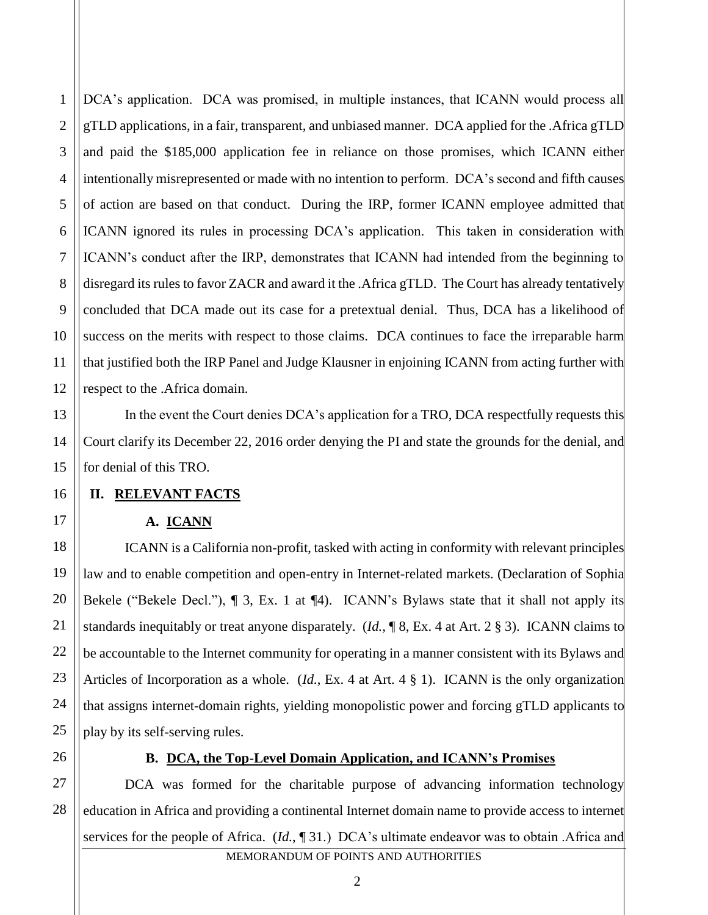1

2

3

DCA's application. DCA was promised, in multiple instances, that ICANN would process all gTLD applications, in a fair, transparent, and unbiased manner. DCA applied for the .Africa gTLD and paid the \$185,000 application fee in reliance on those promises, which ICANN either intentionally misrepresented or made with no intention to perform. DCA's second and fifth causes of action are based on that conduct. During the IRP, former ICANN employee admitted that ICANN ignored its rules in processing DCA's application. This taken in consideration with ICANN's conduct after the IRP, demonstrates that ICANN had intended from the beginning to disregard its rules to favor ZACR and award it the .Africa gTLD. The Court has already tentatively concluded that DCA made out its case for a pretextual denial. Thus, DCA has a likelihood of success on the merits with respect to those claims. DCA continues to face the irreparable harm that justified both the IRP Panel and Judge Klausner in enjoining ICANN from acting further with respect to the .Africa domain.

In the event the Court denies DCA's application for a TRO, DCA respectfully requests this Court clarify its December 22, 2016 order denying the PI and state the grounds for the denial, and for denial of this TRO.

# **II. RELEVANT FACTS**

# **A. ICANN**

ICANN is a California non-profit, tasked with acting in conformity with relevant principles law and to enable competition and open-entry in Internet-related markets. (Declaration of Sophia Bekele ("Bekele Decl."), ¶ 3, Ex. 1 at ¶4). ICANN's Bylaws state that it shall not apply its standards inequitably or treat anyone disparately. (*Id.,* ¶ 8, Ex. 4 at Art. 2 § 3). ICANN claims to be accountable to the Internet community for operating in a manner consistent with its Bylaws and Articles of Incorporation as a whole. (*Id.*, Ex. 4 at Art. 4 § 1). ICANN is the only organization that assigns internet-domain rights, yielding monopolistic power and forcing gTLD applicants to play by its self-serving rules.

# **B. DCA, the Top-Level Domain Application, and ICANN's Promises**

DCA was formed for the charitable purpose of advancing information technology education in Africa and providing a continental Internet domain name to provide access to internet services for the people of Africa. (*Id.*, ¶ 31.) DCA's ultimate endeavor was to obtain .Africa and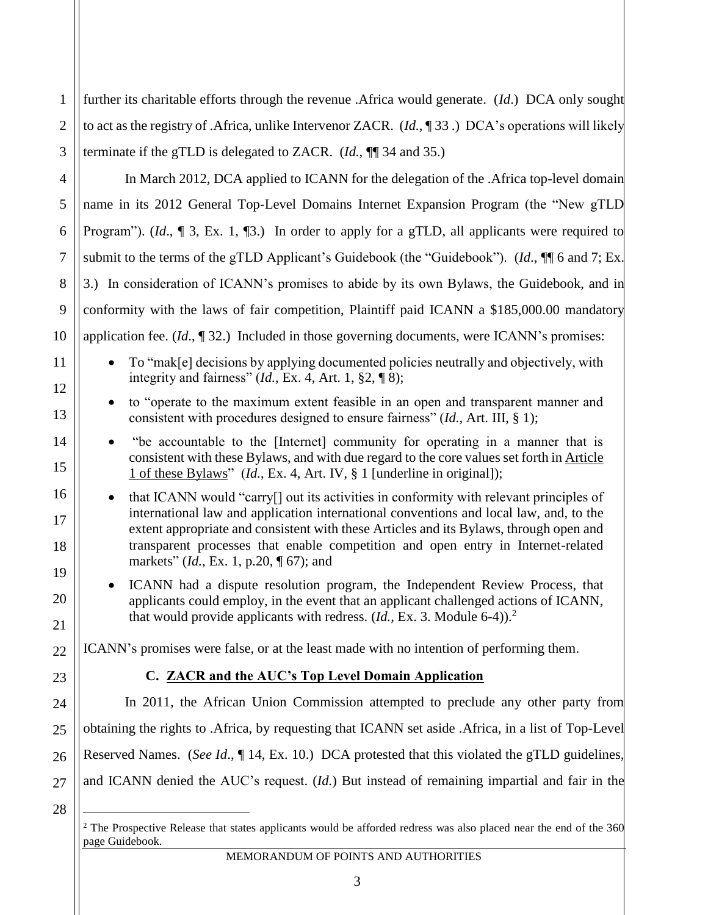1 2 3 further its charitable efforts through the revenue .Africa would generate. (*Id*.) DCA only sought to act as the registry of .Africa, unlike Intervenor ZACR. (*Id.*, ¶ 33 .) DCA's operations will likely terminate if the gTLD is delegated to ZACR. (*Id.*, ¶¶ 34 and 35.)

In March 2012, DCA applied to ICANN for the delegation of the .Africa top-level domain name in its 2012 General Top-Level Domains Internet Expansion Program (the "New gTLD Program"). (*Id.*,  $\P$  3, Ex. 1,  $\P$ 3.) In order to apply for a gTLD, all applicants were required to submit to the terms of the gTLD Applicant's Guidebook (the "Guidebook"). (*Id*., ¶¶ 6 and 7; Ex. 3.) In consideration of ICANN's promises to abide by its own Bylaws, the Guidebook, and in conformity with the laws of fair competition, Plaintiff paid ICANN a \$185,000.00 mandatory application fee. (*Id*., ¶ 32.) Included in those governing documents, were ICANN's promises:

 To "mak[e] decisions by applying documented policies neutrally and objectively, with integrity and fairness" (*Id.*, Ex. 4, Art. 1, §2, ¶ 8);

 to "operate to the maximum extent feasible in an open and transparent manner and consistent with procedures designed to ensure fairness" (*Id.*, Art. III, § 1);

 "be accountable to the [Internet] community for operating in a manner that is consistent with these Bylaws, and with due regard to the core values set forth in Article 1 of these Bylaws" (*Id.*, Ex. 4, Art. IV, § 1 [underline in original]);

• that ICANN would "carry<sup>[]</sup> out its activities in conformity with relevant principles of international law and application international conventions and local law, and, to the extent appropriate and consistent with these Articles and its Bylaws, through open and transparent processes that enable competition and open entry in Internet-related markets" (*Id.*, Ex. 1, p.20, ¶ 67); and

 ICANN had a dispute resolution program, the Independent Review Process, that applicants could employ, in the event that an applicant challenged actions of ICANN, that would provide applicants with redress.  $(Id, Ex. 3$ . Module 6-4).<sup>2</sup>

ICANN's promises were false, or at the least made with no intention of performing them.

# **C. ZACR and the AUC's Top Level Domain Application**

In 2011, the African Union Commission attempted to preclude any other party from obtaining the rights to .Africa, by requesting that ICANN set aside .Africa, in a list of Top-Level Reserved Names. (*See Id*., ¶ 14, Ex. 10.) DCA protested that this violated the gTLD guidelines, and ICANN denied the AUC's request. (*Id.*) But instead of remaining impartial and fair in the

28

 $\overline{a}$ 

4

5

6

7

8

9

10

11

12

13

14

15

16

17

18

19

20

21

22

23

24

25

26

27

<sup>&</sup>lt;sup>2</sup> The Prospective Release that states applicants would be afforded redress was also placed near the end of the 360 page Guidebook.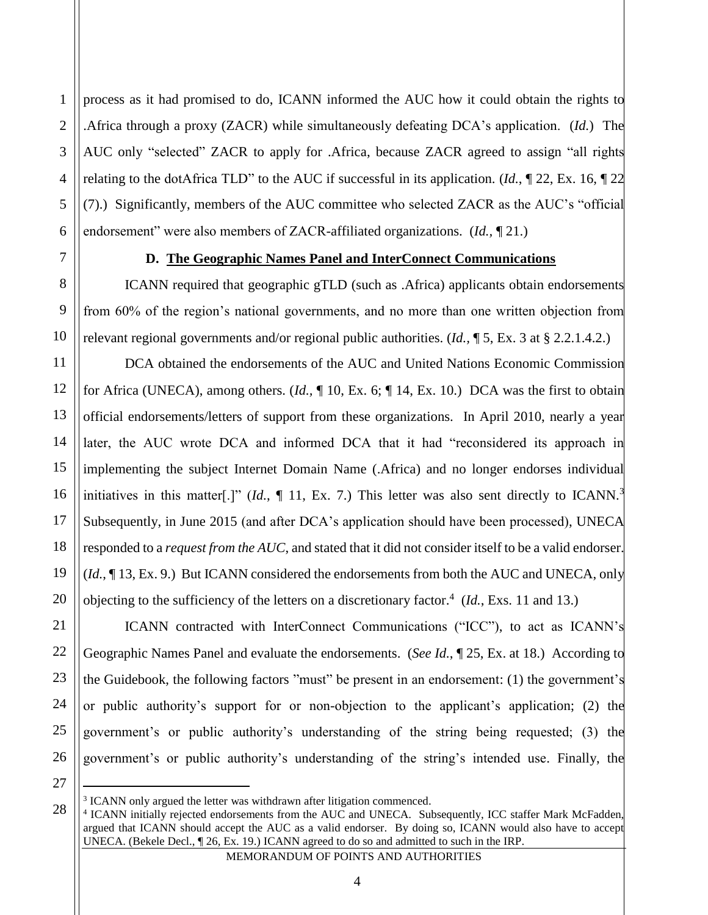process as it had promised to do, ICANN informed the AUC how it could obtain the rights to .Africa through a proxy (ZACR) while simultaneously defeating DCA's application. (*Id.*) The AUC only "selected" ZACR to apply for .Africa, because ZACR agreed to assign "all rights relating to the dotAfrica TLD" to the AUC if successful in its application. (*Id.*, ¶ 22, Ex. 16, ¶ 22 (7).) Significantly, members of the AUC committee who selected ZACR as the AUC's "official endorsement" were also members of ZACR-affiliated organizations. (*Id.,* ¶ 21.)

1

2

3

4

5

#### **D. The Geographic Names Panel and InterConnect Communications**

ICANN required that geographic gTLD (such as .Africa) applicants obtain endorsements from 60% of the region's national governments, and no more than one written objection from relevant regional governments and/or regional public authorities. (*Id.,* ¶ 5, Ex. 3 at § 2.2.1.4.2.)

DCA obtained the endorsements of the AUC and United Nations Economic Commission for Africa (UNECA), among others. (*Id.,* ¶ 10, Ex. 6; ¶ 14, Ex. 10.) DCA was the first to obtain official endorsements/letters of support from these organizations. In April 2010, nearly a year later, the AUC wrote DCA and informed DCA that it had "reconsidered its approach in implementing the subject Internet Domain Name (.Africa) and no longer endorses individual initiatives in this matter<sup>[.]"</sup> (*Id.*, 11, Ex. 7.) This letter was also sent directly to ICANN.<sup>3</sup>  $\overline{\phantom{a}}$ Subsequently, in June 2015 (and after DCA's application should have been processed), UNECA responded to a *request from the AUC*, and stated that it did not consider itself to be a valid endorser. (*Id.*, ¶ 13, Ex. 9.) But ICANN considered the endorsements from both the AUC and UNECA, only objecting to the sufficiency of the letters on a discretionary factor.<sup>4</sup> (*Id.*, Exs. 11 and 13.)

ICANN contracted with InterConnect Communications ("ICC"), to act as ICANN's Geographic Names Panel and evaluate the endorsements. (*See Id.*, ¶ 25, Ex. at 18.) According to the Guidebook, the following factors "must" be present in an endorsement: (1) the government's or public authority's support for or non-objection to the applicant's application; (2) the government's or public authority's understanding of the string being requested; (3) the government's or public authority's understanding of the string's intended use. Finally, the

 $\overline{a}$ 

<sup>&</sup>lt;sup>3</sup> ICANN only argued the letter was withdrawn after litigation commenced.

<sup>4</sup> ICANN initially rejected endorsements from the AUC and UNECA. Subsequently, ICC staffer Mark McFadden, argued that ICANN should accept the AUC as a valid endorser. By doing so, ICANN would also have to accept UNECA. (Bekele Decl., ¶ 26, Ex. 19.) ICANN agreed to do so and admitted to such in the IRP.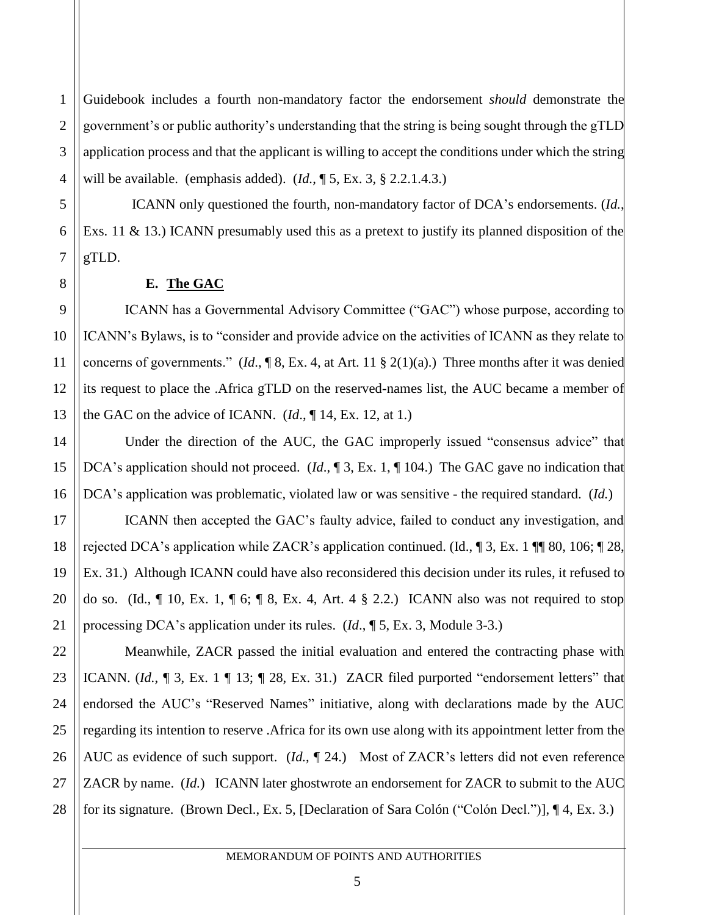1 2 3 4 Guidebook includes a fourth non-mandatory factor the endorsement *should* demonstrate the government's or public authority's understanding that the string is being sought through the gTLD application process and that the applicant is willing to accept the conditions under which the string will be available. (emphasis added). (*Id.*, ¶ 5, Ex. 3, § 2.2.1.4.3.)

 ICANN only questioned the fourth, non-mandatory factor of DCA's endorsements. (*Id.*, Exs. 11 & 13.) ICANN presumably used this as a pretext to justify its planned disposition of the gTLD.

#### **E. The GAC**

ICANN has a Governmental Advisory Committee ("GAC") whose purpose, according to ICANN's Bylaws, is to "consider and provide advice on the activities of ICANN as they relate to concerns of governments." (*Id*., ¶ 8, Ex. 4, at Art. 11 § 2(1)(a).) Three months after it was denied its request to place the .Africa gTLD on the reserved-names list, the AUC became a member of the GAC on the advice of ICANN. (*Id*., ¶ 14, Ex. 12, at 1.)

Under the direction of the AUC, the GAC improperly issued "consensus advice" that DCA's application should not proceed. (*Id.*, ¶ 3, Ex. 1, ¶ 104.) The GAC gave no indication that DCA's application was problematic, violated law or was sensitive - the required standard. (*Id.*)

ICANN then accepted the GAC's faulty advice, failed to conduct any investigation, and rejected DCA's application while ZACR's application continued. (Id.,  $\parallel$  3, Ex. 1  $\parallel$  1 80, 106;  $\parallel$  28, Ex. 31.) Although ICANN could have also reconsidered this decision under its rules, it refused to do so. (Id.,  $\P$  10, Ex. 1,  $\P$  6;  $\P$  8, Ex. 4, Art. 4  $\S$  2.2.) ICANN also was not required to stop processing DCA's application under its rules. (*Id*., ¶ 5, Ex. 3, Module 3-3.)

Meanwhile, ZACR passed the initial evaluation and entered the contracting phase with ICANN. (*Id.*, ¶ 3, Ex. 1 ¶ 13; ¶ 28, Ex. 31.) ZACR filed purported "endorsement letters" that endorsed the AUC's "Reserved Names" initiative, along with declarations made by the AUC regarding its intention to reserve .Africa for its own use along with its appointment letter from the AUC as evidence of such support. (*Id.*,  $\P$  24.) Most of ZACR's letters did not even reference ZACR by name. (*Id.*) ICANN later ghostwrote an endorsement for ZACR to submit to the AUC for its signature. (Brown Decl., Ex. 5, [Declaration of Sara Colón ("Colón Decl.")], ¶ 4, Ex. 3.)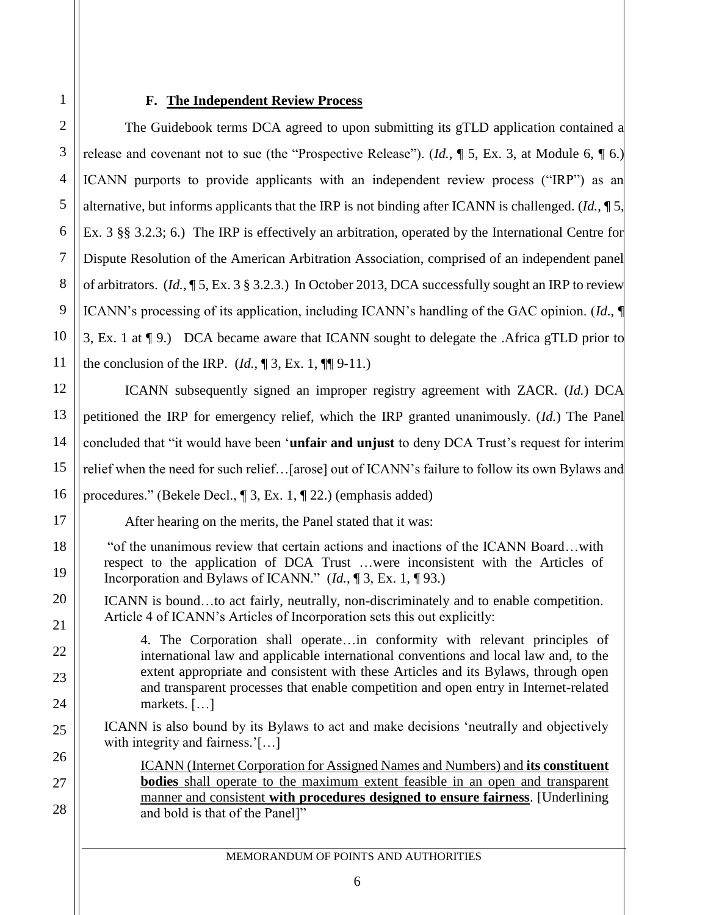### **F. The Independent Review Process**

The Guidebook terms DCA agreed to upon submitting its gTLD application contained a release and covenant not to sue (the "Prospective Release"). (*Id.*, ¶ 5, Ex. 3, at Module 6, ¶ 6.) ICANN purports to provide applicants with an independent review process ("IRP") as an alternative, but informs applicants that the IRP is not binding after ICANN is challenged. (*Id.*, ¶ 5, Ex. 3 §§ 3.2.3; 6.) The IRP is effectively an arbitration, operated by the International Centre for Dispute Resolution of the American Arbitration Association, comprised of an independent panel of arbitrators. (*Id.*, ¶ 5, Ex. 3 § 3.2.3.) In October 2013, DCA successfully sought an IRP to review ICANN's processing of its application, including ICANN's handling of the GAC opinion. (*Id*., ¶ 3, Ex. 1 at ¶ 9.) DCA became aware that ICANN sought to delegate the .Africa gTLD prior to the conclusion of the IRP.  $(Id, \P 3, Ex. 1, \P \P 9-11.)$ 

ICANN subsequently signed an improper registry agreement with ZACR. (*Id.*) DCA petitioned the IRP for emergency relief, which the IRP granted unanimously. (*Id.*) The Panel concluded that "it would have been '**unfair and unjust** to deny DCA Trust's request for interim relief when the need for such relief…[arose] out of ICANN's failure to follow its own Bylaws and procedures." (Bekele Decl., ¶ 3, Ex. 1, ¶ 22.) (emphasis added)

After hearing on the merits, the Panel stated that it was:

"of the unanimous review that certain actions and inactions of the ICANN Board…with respect to the application of DCA Trust …were inconsistent with the Articles of Incorporation and Bylaws of ICANN." (*Id.*, ¶ 3, Ex. 1, ¶ 93.)

ICANN is bound…to act fairly, neutrally, non-discriminately and to enable competition. Article 4 of ICANN's Articles of Incorporation sets this out explicitly:

4. The Corporation shall operate…in conformity with relevant principles of international law and applicable international conventions and local law and, to the extent appropriate and consistent with these Articles and its Bylaws, through open and transparent processes that enable competition and open entry in Internet-related markets. […]

ICANN is also bound by its Bylaws to act and make decisions 'neutrally and objectively with integrity and fairness.'[...]

ICANN (Internet Corporation for Assigned Names and Numbers) and **its constituent bodies** shall operate to the maximum extent feasible in an open and transparent manner and consistent **with procedures designed to ensure fairness**. [Underlining and bold is that of the Panel]"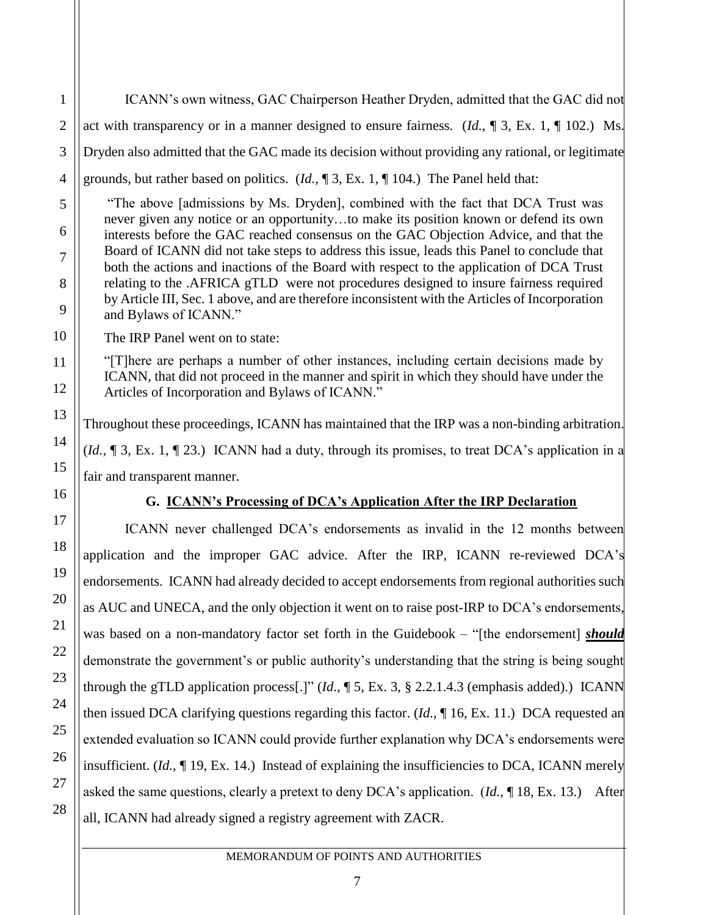ICANN's own witness, GAC Chairperson Heather Dryden, admitted that the GAC did not act with transparency or in a manner designed to ensure fairness. (*Id.*, ¶ 3, Ex. 1, ¶ 102.) Ms. Dryden also admitted that the GAC made its decision without providing any rational, or legitimate grounds, but rather based on politics. (*Id.*, ¶ 3, Ex. 1, ¶ 104.) The Panel held that:

"The above [admissions by Ms. Dryden], combined with the fact that DCA Trust was never given any notice or an opportunity…to make its position known or defend its own interests before the GAC reached consensus on the GAC Objection Advice, and that the Board of ICANN did not take steps to address this issue, leads this Panel to conclude that both the actions and inactions of the Board with respect to the application of DCA Trust relating to the .AFRICA gTLD were not procedures designed to insure fairness required by Article III, Sec. 1 above, and are therefore inconsistent with the Articles of Incorporation and Bylaws of ICANN."

The IRP Panel went on to state:

1

2

3

4

5

6

7

8

9

10

11

12

13

14

15

16

17

18

19

20

21

22

23

24

25

26

27

28

"[T]here are perhaps a number of other instances, including certain decisions made by ICANN, that did not proceed in the manner and spirit in which they should have under the Articles of Incorporation and Bylaws of ICANN."

Throughout these proceedings, ICANN has maintained that the IRP was a non-binding arbitration. (*Id.,* ¶ 3, Ex. 1, ¶ 23.) ICANN had a duty, through its promises, to treat DCA's application in a fair and transparent manner.

# **G. ICANN's Processing of DCA's Application After the IRP Declaration**

ICANN never challenged DCA's endorsements as invalid in the 12 months between application and the improper GAC advice. After the IRP, ICANN re-reviewed DCA's endorsements. ICANN had already decided to accept endorsements from regional authorities such as AUC and UNECA, and the only objection it went on to raise post-IRP to DCA's endorsements, was based on a non-mandatory factor set forth in the Guidebook – "[the endorsement] *should* demonstrate the government's or public authority's understanding that the string is being sought through the gTLD application process[.]" (*Id*., ¶ 5, Ex. 3, § 2.2.1.4.3 (emphasis added).) ICANN then issued DCA clarifying questions regarding this factor. (*Id.*, ¶ 16, Ex. 11.) DCA requested an extended evaluation so ICANN could provide further explanation why DCA's endorsements were insufficient. (*Id.*, ¶ 19, Ex. 14.) Instead of explaining the insufficiencies to DCA, ICANN merely asked the same questions, clearly a pretext to deny DCA's application. (*Id.*, ¶ 18, Ex. 13.) After all, ICANN had already signed a registry agreement with ZACR.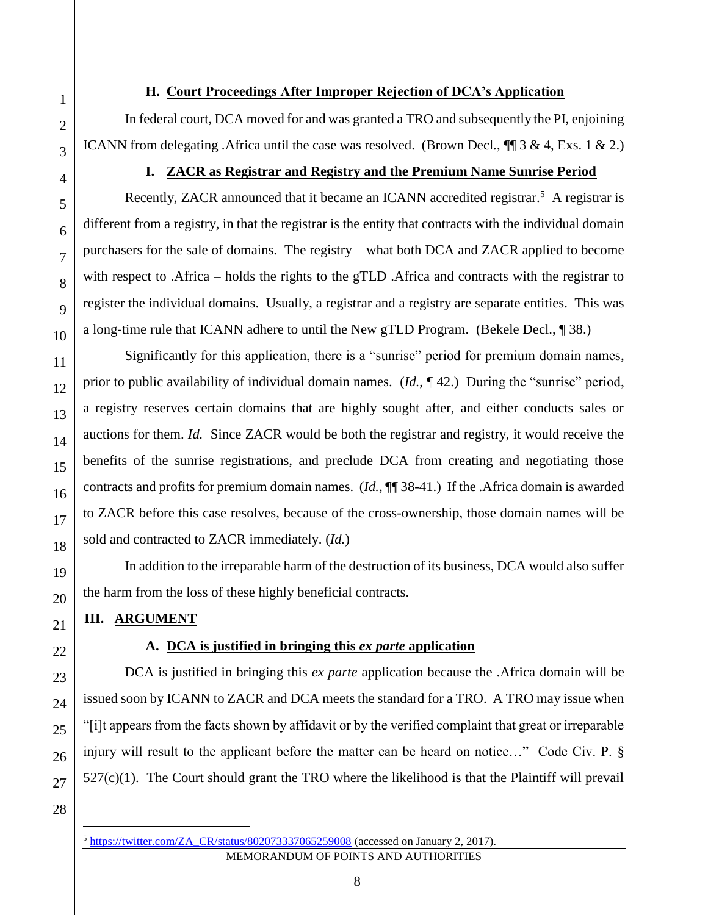### **H. Court Proceedings After Improper Rejection of DCA's Application**

In federal court, DCA moved for and was granted a TRO and subsequently the PI, enjoining ICANN from delegating .Africa until the case was resolved. (Brown Decl*.*, ¶¶ 3 & 4, Exs. 1 & 2.)

## **I. ZACR as Registrar and Registry and the Premium Name Sunrise Period**

Recently, ZACR announced that it became an ICANN accredited registrar.<sup>5</sup> A registrar is different from a registry, in that the registrar is the entity that contracts with the individual domain purchasers for the sale of domains. The registry – what both DCA and ZACR applied to become with respect to .Africa – holds the rights to the gTLD .Africa and contracts with the registrar to register the individual domains. Usually, a registrar and a registry are separate entities. This was a long-time rule that ICANN adhere to until the New gTLD Program. (Bekele Decl., ¶ 38.)

Significantly for this application, there is a "sunrise" period for premium domain names, prior to public availability of individual domain names. (*Id.*, ¶ 42.) During the "sunrise" period, a registry reserves certain domains that are highly sought after, and either conducts sales or auctions for them. *Id.* Since ZACR would be both the registrar and registry, it would receive the benefits of the sunrise registrations, and preclude DCA from creating and negotiating those contracts and profits for premium domain names. (*Id.*, ¶¶ 38-41.) If the .Africa domain is awarded to ZACR before this case resolves, because of the cross-ownership, those domain names will be sold and contracted to ZACR immediately. (*Id.*)

In addition to the irreparable harm of the destruction of its business, DCA would also suffer the harm from the loss of these highly beneficial contracts.

# **III. ARGUMENT**

# **A. DCA is justified in bringing this** *ex parte* **application**

DCA is justified in bringing this *ex parte* application because the .Africa domain will be issued soon by ICANN to ZACR and DCA meets the standard for a TRO. A TRO may issue when "[i]t appears from the facts shown by affidavit or by the verified complaint that great or irreparable injury will result to the applicant before the matter can be heard on notice…" Code Civ. P. §  $527(c)(1)$ . The Court should grant the TRO where the likelihood is that the Plaintiff will prevail

 $\overline{a}$ 

MEMORANDUM OF POINTS AND AUTHORITIES  $5 \text{ https://tvitter.com/ZA-CR/status/802073337065259008}$  (accessed on January 2, 2017).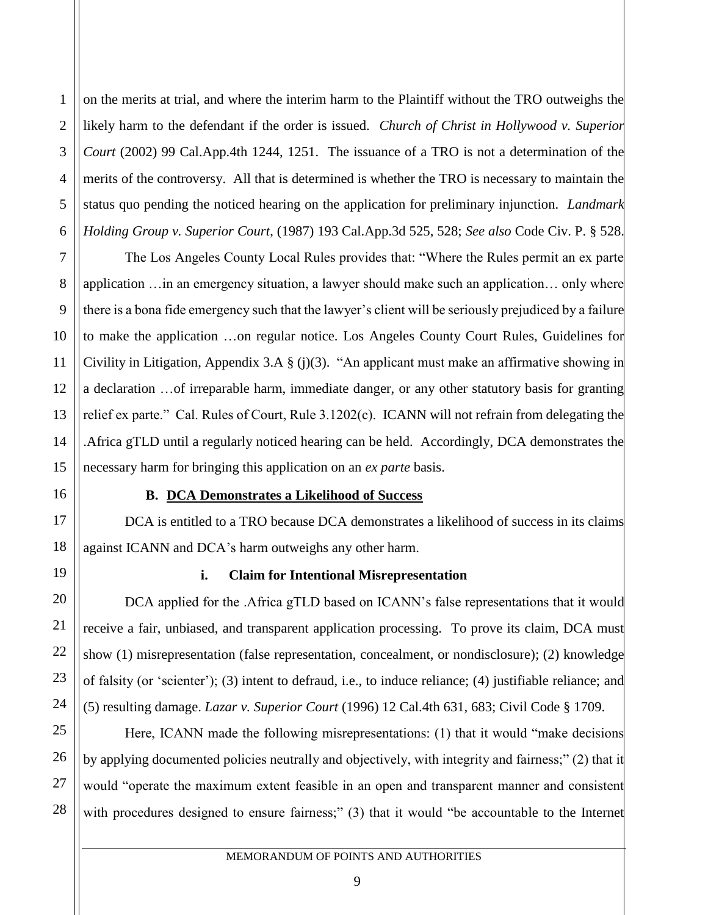on the merits at trial, and where the interim harm to the Plaintiff without the TRO outweighs the likely harm to the defendant if the order is issued. *Church of Christ in Hollywood v. Superior Court* (2002) 99 Cal.App.4th 1244, 1251. The issuance of a TRO is not a determination of the merits of the controversy. All that is determined is whether the TRO is necessary to maintain the status quo pending the noticed hearing on the application for preliminary injunction. *Landmark Holding Group v. Superior Court*, (1987) 193 Cal.App.3d 525, 528; *See also* Code Civ. P. § 528.

The Los Angeles County Local Rules provides that: "Where the Rules permit an ex parte application …in an emergency situation, a lawyer should make such an application… only where there is a bona fide emergency such that the lawyer's client will be seriously prejudiced by a failure to make the application …on regular notice. Los Angeles County Court Rules, Guidelines for Civility in Litigation, Appendix 3.A § (j)(3). "An applicant must make an affirmative showing in a declaration …of irreparable harm, immediate danger, or any other statutory basis for granting relief ex parte." Cal. Rules of Court, Rule 3.1202(c). ICANN will not refrain from delegating the .Africa gTLD until a regularly noticed hearing can be held. Accordingly, DCA demonstrates the necessary harm for bringing this application on an *ex parte* basis.

### **B. DCA Demonstrates a Likelihood of Success**

DCA is entitled to a TRO because DCA demonstrates a likelihood of success in its claims against ICANN and DCA's harm outweighs any other harm.

# **i. Claim for Intentional Misrepresentation**

DCA applied for the .Africa gTLD based on ICANN's false representations that it would receive a fair, unbiased, and transparent application processing. To prove its claim, DCA must show (1) misrepresentation (false representation, concealment, or nondisclosure); (2) knowledge of falsity (or 'scienter'); (3) intent to defraud, i.e., to induce reliance; (4) justifiable reliance; and (5) resulting damage. *Lazar v. Superior Court* (1996) 12 Cal.4th 631, 683; Civil Code § 1709.

Here, ICANN made the following misrepresentations: (1) that it would "make decisions by applying documented policies neutrally and objectively, with integrity and fairness;" (2) that it would "operate the maximum extent feasible in an open and transparent manner and consistent with procedures designed to ensure fairness;" (3) that it would "be accountable to the Internet

MEMORANDUM OF POINTS AND AUTHORITIES

1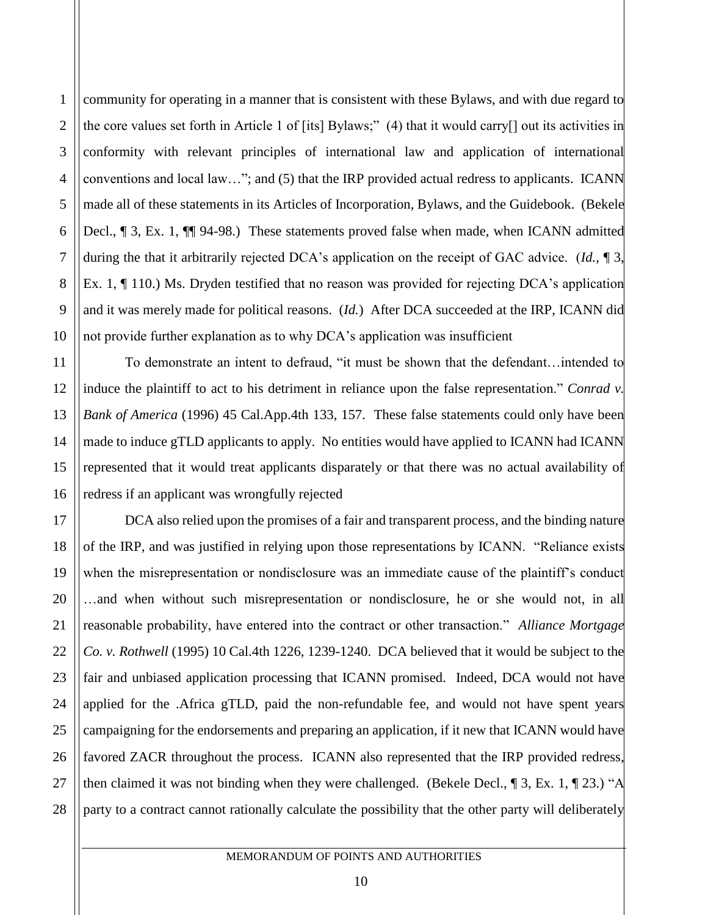community for operating in a manner that is consistent with these Bylaws, and with due regard to the core values set forth in Article 1 of [its] Bylaws;" (4) that it would carry[] out its activities in conformity with relevant principles of international law and application of international conventions and local law…"; and (5) that the IRP provided actual redress to applicants. ICANN made all of these statements in its Articles of Incorporation, Bylaws, and the Guidebook. (Bekele Decl., ¶ 3, Ex. 1, ¶¶ 94-98.) These statements proved false when made, when ICANN admitted during the that it arbitrarily rejected DCA's application on the receipt of GAC advice. (*Id.*, ¶ 3, Ex. 1, ¶ 110.) Ms. Dryden testified that no reason was provided for rejecting DCA's application and it was merely made for political reasons. (*Id.*) After DCA succeeded at the IRP, ICANN did not provide further explanation as to why DCA's application was insufficient

To demonstrate an intent to defraud, "it must be shown that the defendant…intended to induce the plaintiff to act to his detriment in reliance upon the false representation." *Conrad v. Bank of America* (1996) 45 Cal.App.4th 133, 157. These false statements could only have been made to induce gTLD applicants to apply. No entities would have applied to ICANN had ICANN represented that it would treat applicants disparately or that there was no actual availability of redress if an applicant was wrongfully rejected

DCA also relied upon the promises of a fair and transparent process, and the binding nature of the IRP, and was justified in relying upon those representations by ICANN. "Reliance exists when the misrepresentation or nondisclosure was an immediate cause of the plaintiff's conduct …and when without such misrepresentation or nondisclosure, he or she would not, in all reasonable probability, have entered into the contract or other transaction." *Alliance Mortgage Co. v. Rothwell* (1995) 10 Cal.4th 1226, 1239-1240. DCA believed that it would be subject to the fair and unbiased application processing that ICANN promised. Indeed, DCA would not have applied for the .Africa gTLD, paid the non-refundable fee, and would not have spent years campaigning for the endorsements and preparing an application, if it new that ICANN would have favored ZACR throughout the process. ICANN also represented that the IRP provided redress, then claimed it was not binding when they were challenged. (Bekele Decl., ¶ 3, Ex. 1, ¶ 23.) "A party to a contract cannot rationally calculate the possibility that the other party will deliberately

1

2

3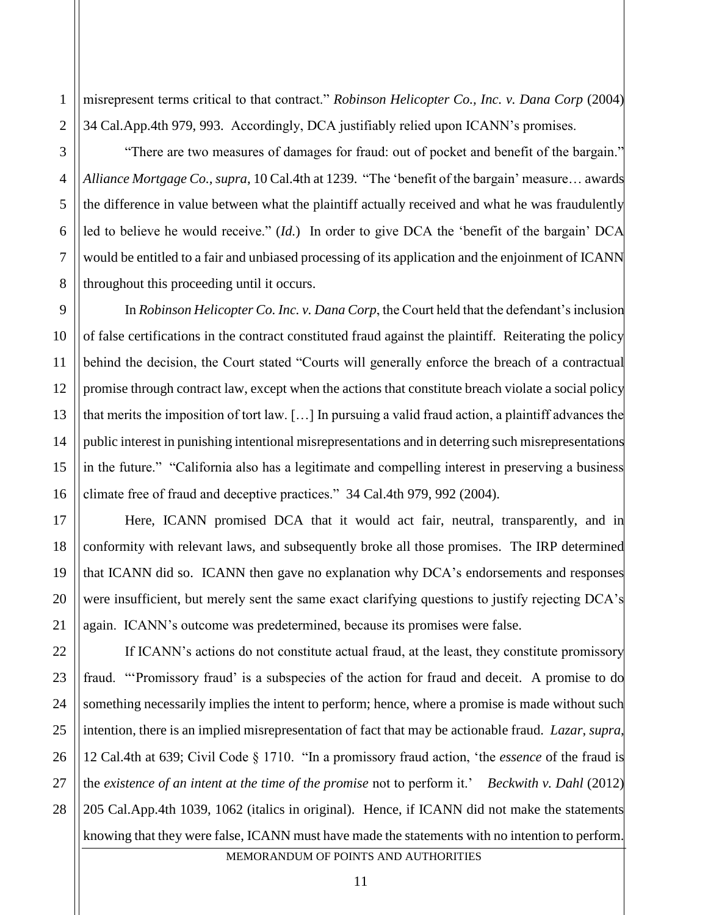misrepresent terms critical to that contract." *Robinson Helicopter Co., Inc. v. Dana Corp* (2004) 34 Cal.App.4th 979, 993. Accordingly, DCA justifiably relied upon ICANN's promises.

"There are two measures of damages for fraud: out of pocket and benefit of the bargain." *Alliance Mortgage Co., supra*, 10 Cal.4th at 1239. "The 'benefit of the bargain' measure… awards the difference in value between what the plaintiff actually received and what he was fraudulently led to believe he would receive." (*Id.*)In order to give DCA the 'benefit of the bargain' DCA would be entitled to a fair and unbiased processing of its application and the enjoinment of ICANN throughout this proceeding until it occurs.

In *Robinson Helicopter Co. Inc. v. Dana Corp*, the Court held that the defendant's inclusion of false certifications in the contract constituted fraud against the plaintiff. Reiterating the policy behind the decision, the Court stated "Courts will generally enforce the breach of a contractual promise through contract law, except when the actions that constitute breach violate a social policy that merits the imposition of tort law. […] In pursuing a valid fraud action, a plaintiff advances the public interest in punishing intentional misrepresentations and in deterring such misrepresentations in the future." "California also has a legitimate and compelling interest in preserving a business climate free of fraud and deceptive practices." 34 Cal.4th 979, 992 (2004).

Here, ICANN promised DCA that it would act fair, neutral, transparently, and in conformity with relevant laws, and subsequently broke all those promises. The IRP determined that ICANN did so. ICANN then gave no explanation why DCA's endorsements and responses were insufficient, but merely sent the same exact clarifying questions to justify rejecting DCA's again. ICANN's outcome was predetermined, because its promises were false.

MEMORANDUM OF POINTS AND AUTHORITIES If ICANN's actions do not constitute actual fraud, at the least, they constitute promissory fraud. "'Promissory fraud' is a subspecies of the action for fraud and deceit. A promise to do something necessarily implies the intent to perform; hence, where a promise is made without such intention, there is an implied misrepresentation of fact that may be actionable fraud. *Lazar*, *supra*, 12 Cal.4th at 639; Civil Code § 1710. "In a promissory fraud action, 'the *essence* of the fraud is the *existence of an intent at the time of the promise* not to perform it.' *Beckwith v. Dahl* (2012) 205 Cal.App.4th 1039, 1062 (italics in original). Hence, if ICANN did not make the statements knowing that they were false, ICANN must have made the statements with no intention to perform.

1

2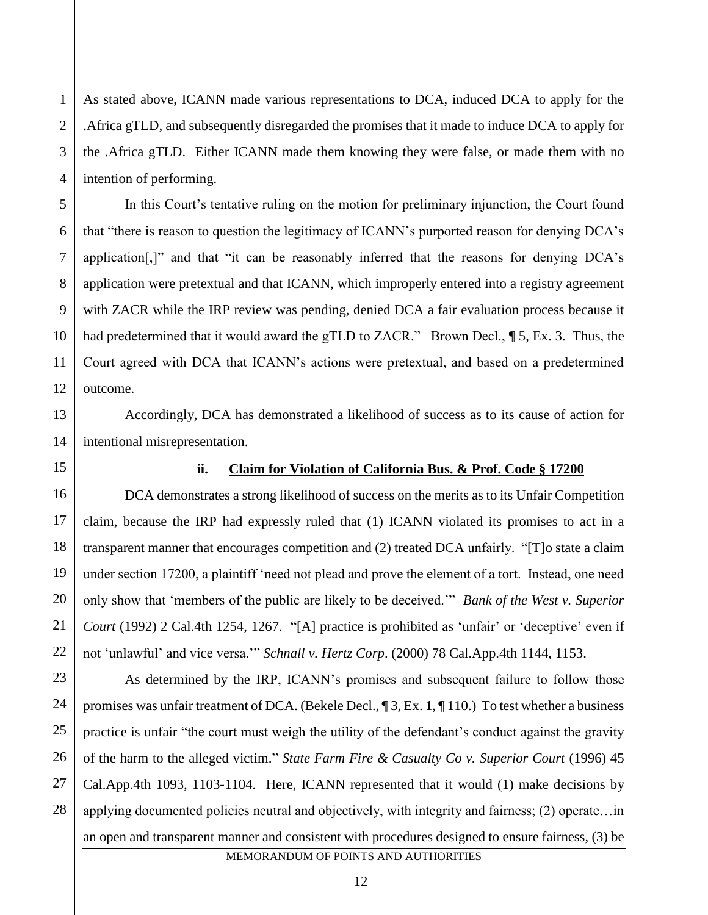As stated above, ICANN made various representations to DCA, induced DCA to apply for the .Africa gTLD, and subsequently disregarded the promises that it made to induce DCA to apply for the .Africa gTLD. Either ICANN made them knowing they were false, or made them with no intention of performing.

In this Court's tentative ruling on the motion for preliminary injunction, the Court found that "there is reason to question the legitimacy of ICANN's purported reason for denying DCA's application[,]" and that "it can be reasonably inferred that the reasons for denying DCA's application were pretextual and that ICANN, which improperly entered into a registry agreement with ZACR while the IRP review was pending, denied DCA a fair evaluation process because it had predetermined that it would award the gTLD to ZACR." Brown Decl., 15, Ex. 3. Thus, the Court agreed with DCA that ICANN's actions were pretextual, and based on a predetermined outcome.

Accordingly, DCA has demonstrated a likelihood of success as to its cause of action for intentional misrepresentation.

#### **ii. Claim for Violation of California Bus. & Prof. Code § 17200**

DCA demonstrates a strong likelihood of success on the merits as to its Unfair Competition claim, because the IRP had expressly ruled that (1) ICANN violated its promises to act in a transparent manner that encourages competition and (2) treated DCA unfairly. "[T]o state a claim under section 17200, a plaintiff 'need not plead and prove the element of a tort. Instead, one need only show that 'members of the public are likely to be deceived.'" *Bank of the West v. Superior Court* (1992) 2 Cal.4th 1254, 1267. "[A] practice is prohibited as 'unfair' or 'deceptive' even if not 'unlawful' and vice versa.'" *Schnall v. Hertz Corp*. (2000) 78 Cal.App.4th 1144, 1153.

MEMORANDUM OF POINTS AND AUTHORITIES As determined by the IRP, ICANN's promises and subsequent failure to follow those promises was unfair treatment of DCA. (Bekele Decl., ¶ 3, Ex. 1, ¶ 110.) To test whether a business practice is unfair "the court must weigh the utility of the defendant's conduct against the gravity of the harm to the alleged victim." *State Farm Fire & Casualty Co v. Superior Court* (1996) 45 Cal.App.4th 1093, 1103-1104. Here, ICANN represented that it would (1) make decisions by applying documented policies neutral and objectively, with integrity and fairness; (2) operate…in an open and transparent manner and consistent with procedures designed to ensure fairness, (3) be

1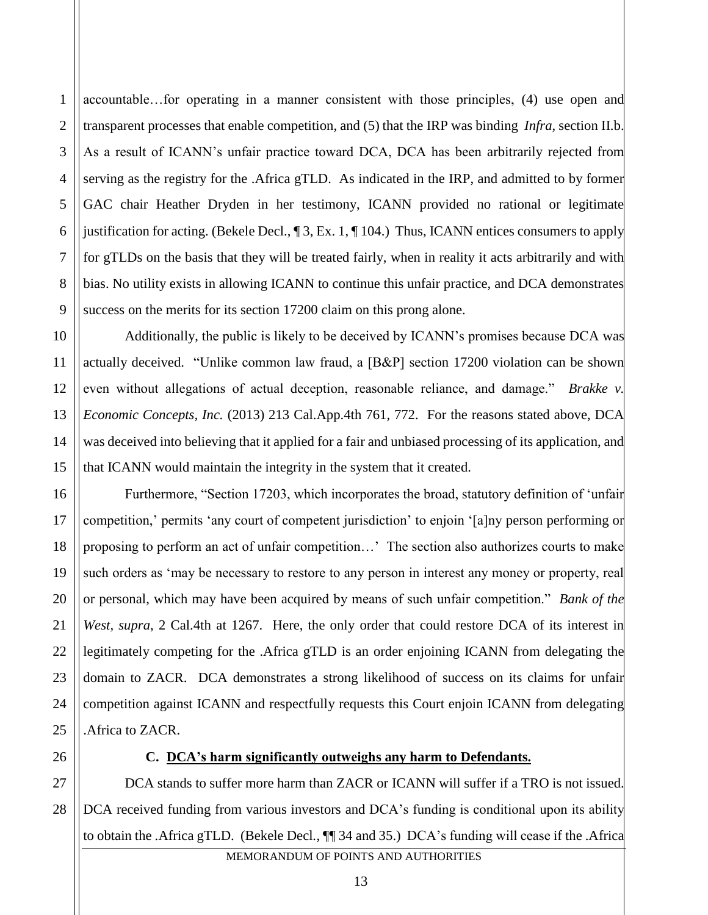4 6 8 9 accountable…for operating in a manner consistent with those principles, (4) use open and transparent processes that enable competition, and (5) that the IRP was binding *Infra*, section II.b. As a result of ICANN's unfair practice toward DCA, DCA has been arbitrarily rejected from serving as the registry for the .Africa gTLD. As indicated in the IRP, and admitted to by former GAC chair Heather Dryden in her testimony, ICANN provided no rational or legitimate justification for acting. (Bekele Decl., ¶ 3, Ex. 1, ¶ 104.) Thus, ICANN entices consumers to apply for gTLDs on the basis that they will be treated fairly, when in reality it acts arbitrarily and with bias. No utility exists in allowing ICANN to continue this unfair practice, and DCA demonstrates success on the merits for its section 17200 claim on this prong alone.

Additionally, the public is likely to be deceived by ICANN's promises because DCA was actually deceived. "Unlike common law fraud, a [B&P] section 17200 violation can be shown even without allegations of actual deception, reasonable reliance, and damage." *Brakke v. Economic Concepts, Inc.* (2013) 213 Cal.App.4th 761, 772. For the reasons stated above, DCA was deceived into believing that it applied for a fair and unbiased processing of its application, and that ICANN would maintain the integrity in the system that it created.

Furthermore, "Section 17203, which incorporates the broad, statutory definition of 'unfair competition,' permits 'any court of competent jurisdiction' to enjoin '[a]ny person performing or proposing to perform an act of unfair competition…' The section also authorizes courts to make such orders as 'may be necessary to restore to any person in interest any money or property, real or personal, which may have been acquired by means of such unfair competition." *Bank of the West, supra*, 2 Cal.4th at 1267. Here, the only order that could restore DCA of its interest in legitimately competing for the .Africa gTLD is an order enjoining ICANN from delegating the domain to ZACR. DCA demonstrates a strong likelihood of success on its claims for unfair competition against ICANN and respectfully requests this Court enjoin ICANN from delegating .Africa to ZACR.

1

2

3

5

7

10

11

12

13

14

15

16

17

18

19

20

21

22

23

24

25

26

# **C. DCA's harm significantly outweighs any harm to Defendants.**

MEMORANDUM OF POINTS AND AUTHORITIES 27 28 DCA stands to suffer more harm than ZACR or ICANN will suffer if a TRO is not issued. DCA received funding from various investors and DCA's funding is conditional upon its ability to obtain the .Africa gTLD. (Bekele Decl*.*, ¶¶ 34 and 35.) DCA's funding will cease if the .Africa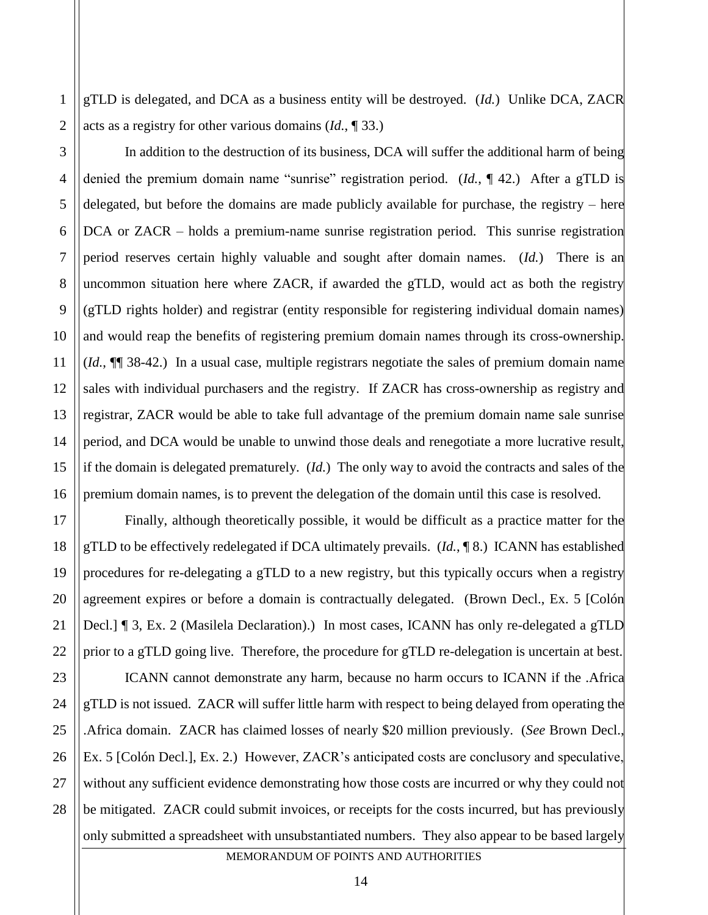gTLD is delegated, and DCA as a business entity will be destroyed. (*Id.*) Unlike DCA, ZACR acts as a registry for other various domains (*Id.*, ¶ 33.)

2

1

3

4

5

6

7

8

9

10

11

12

13

14

15

16

17

18

19

20

21

22

23

24

25

26

27

28

In addition to the destruction of its business, DCA will suffer the additional harm of being denied the premium domain name "sunrise" registration period. (*Id.*, ¶ 42.) After a gTLD is delegated, but before the domains are made publicly available for purchase, the registry – here DCA or ZACR – holds a premium-name sunrise registration period. This sunrise registration period reserves certain highly valuable and sought after domain names. (*Id.*) There is an uncommon situation here where ZACR, if awarded the gTLD, would act as both the registry (gTLD rights holder) and registrar (entity responsible for registering individual domain names) and would reap the benefits of registering premium domain names through its cross-ownership. (*Id.*, ¶¶ 38-42.) In a usual case, multiple registrars negotiate the sales of premium domain name sales with individual purchasers and the registry. If ZACR has cross-ownership as registry and registrar, ZACR would be able to take full advantage of the premium domain name sale sunrise period, and DCA would be unable to unwind those deals and renegotiate a more lucrative result, if the domain is delegated prematurely. (*Id.*) The only way to avoid the contracts and sales of the premium domain names, is to prevent the delegation of the domain until this case is resolved.

Finally, although theoretically possible, it would be difficult as a practice matter for the gTLD to be effectively redelegated if DCA ultimately prevails. (*Id.*, ¶ 8.) ICANN has established procedures for re-delegating a gTLD to a new registry, but this typically occurs when a registry agreement expires or before a domain is contractually delegated. (Brown Decl., Ex. 5 [Colón Decl.] ¶ 3, Ex. 2 (Masilela Declaration).) In most cases, ICANN has only re-delegated a gTLD prior to a gTLD going live. Therefore, the procedure for gTLD re-delegation is uncertain at best.

ICANN cannot demonstrate any harm, because no harm occurs to ICANN if the .Africa gTLD is not issued. ZACR will suffer little harm with respect to being delayed from operating the .Africa domain. ZACR has claimed losses of nearly \$20 million previously. (*See* Brown Decl., Ex. 5 [Colón Decl.], Ex. 2.) However, ZACR's anticipated costs are conclusory and speculative, without any sufficient evidence demonstrating how those costs are incurred or why they could not be mitigated. ZACR could submit invoices, or receipts for the costs incurred, but has previously only submitted a spreadsheet with unsubstantiated numbers. They also appear to be based largely